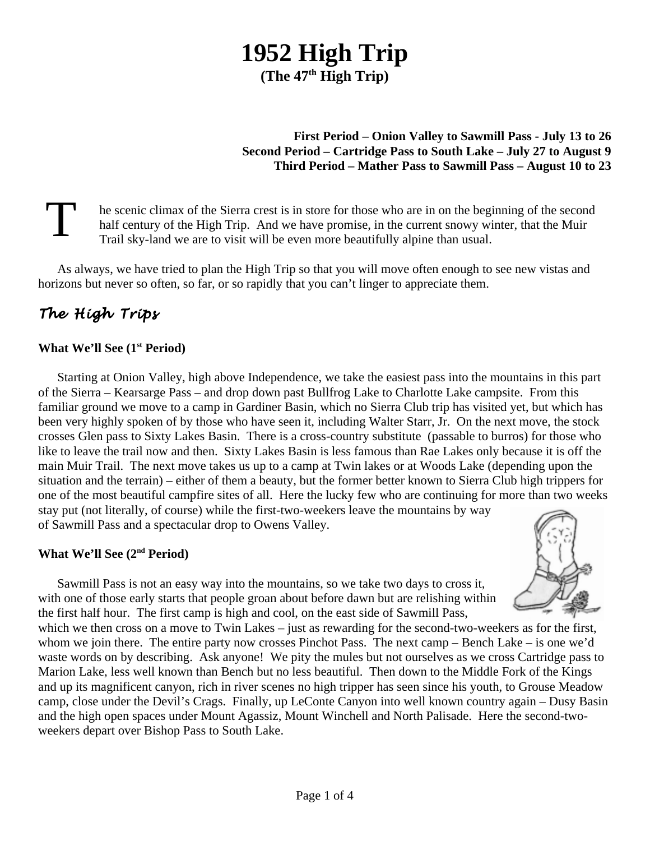# **1952 High Trip (The 47th High Trip)**

## **First Period – Onion Valley to Sawmill Pass - July 13 to 26 Second Period – Cartridge Pass to South Lake – July 27 to August 9 Third Period – Mather Pass to Sawmill Pass – August 10 to 23**

T he scenic climax of the Sierra crest is in store for those who are in on the beginning of the second half century of the High Trip. And we have promise, in the current snowy winter, that the Muir Trail sky-land we are to visit will be even more beautifully alpine than usual.

As always, we have tried to plan the High Trip so that you will move often enough to see new vistas and horizons but never so often, so far, or so rapidly that you can't linger to appreciate them.

# *The High Trips*

## **What We'll See (1st Period)**

Starting at Onion Valley, high above Independence, we take the easiest pass into the mountains in this part of the Sierra – Kearsarge Pass – and drop down past Bullfrog Lake to Charlotte Lake campsite. From this familiar ground we move to a camp in Gardiner Basin, which no Sierra Club trip has visited yet, but which has been very highly spoken of by those who have seen it, including Walter Starr, Jr. On the next move, the stock crosses Glen pass to Sixty Lakes Basin. There is a cross-country substitute (passable to burros) for those who like to leave the trail now and then. Sixty Lakes Basin is less famous than Rae Lakes only because it is off the main Muir Trail. The next move takes us up to a camp at Twin lakes or at Woods Lake (depending upon the situation and the terrain) – either of them a beauty, but the former better known to Sierra Club high trippers for one of the most beautiful campfire sites of all. Here the lucky few who are continuing for more than two weeks stay put (not literally, of course) while the first-two-weekers leave the mountains by way of Sawmill Pass and a spectacular drop to Owens Valley.

#### **What We'll See (2nd Period)**

Sawmill Pass is not an easy way into the mountains, so we take two days to cross it, with one of those early starts that people groan about before dawn but are relishing within

the first half hour. The first camp is high and cool, on the east side of Sawmill Pass, which we then cross on a move to Twin Lakes – just as rewarding for the second-two-weekers as for the first, whom we join there. The entire party now crosses Pinchot Pass. The next camp – Bench Lake – is one we'd waste words on by describing. Ask anyone! We pity the mules but not ourselves as we cross Cartridge pass to Marion Lake, less well known than Bench but no less beautiful. Then down to the Middle Fork of the Kings and up its magnificent canyon, rich in river scenes no high tripper has seen since his youth, to Grouse Meadow camp, close under the Devil's Crags. Finally, up LeConte Canyon into well known country again – Dusy Basin and the high open spaces under Mount Agassiz, Mount Winchell and North Palisade. Here the second-twoweekers depart over Bishop Pass to South Lake.

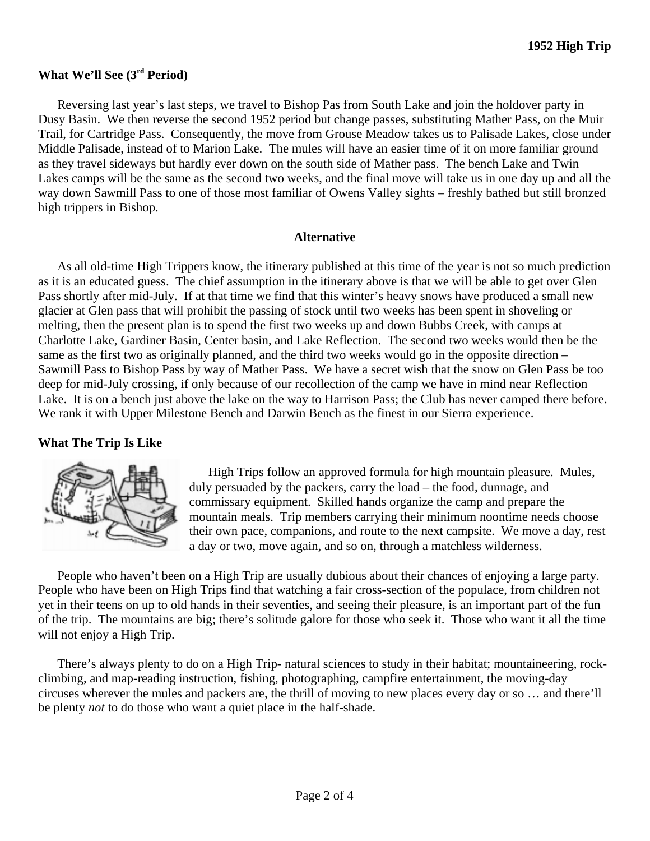#### **What We'll See (3rd Period)**

Reversing last year's last steps, we travel to Bishop Pas from South Lake and join the holdover party in Dusy Basin. We then reverse the second 1952 period but change passes, substituting Mather Pass, on the Muir Trail, for Cartridge Pass. Consequently, the move from Grouse Meadow takes us to Palisade Lakes, close under Middle Palisade, instead of to Marion Lake. The mules will have an easier time of it on more familiar ground as they travel sideways but hardly ever down on the south side of Mather pass. The bench Lake and Twin Lakes camps will be the same as the second two weeks, and the final move will take us in one day up and all the way down Sawmill Pass to one of those most familiar of Owens Valley sights – freshly bathed but still bronzed high trippers in Bishop.

#### **Alternative**

As all old-time High Trippers know, the itinerary published at this time of the year is not so much prediction as it is an educated guess. The chief assumption in the itinerary above is that we will be able to get over Glen Pass shortly after mid-July. If at that time we find that this winter's heavy snows have produced a small new glacier at Glen pass that will prohibit the passing of stock until two weeks has been spent in shoveling or melting, then the present plan is to spend the first two weeks up and down Bubbs Creek, with camps at Charlotte Lake, Gardiner Basin, Center basin, and Lake Reflection. The second two weeks would then be the same as the first two as originally planned, and the third two weeks would go in the opposite direction – Sawmill Pass to Bishop Pass by way of Mather Pass. We have a secret wish that the snow on Glen Pass be too deep for mid-July crossing, if only because of our recollection of the camp we have in mind near Reflection Lake. It is on a bench just above the lake on the way to Harrison Pass; the Club has never camped there before. We rank it with Upper Milestone Bench and Darwin Bench as the finest in our Sierra experience.

#### **What The Trip Is Like**



High Trips follow an approved formula for high mountain pleasure. Mules, duly persuaded by the packers, carry the load – the food, dunnage, and commissary equipment. Skilled hands organize the camp and prepare the mountain meals. Trip members carrying their minimum noontime needs choose their own pace, companions, and route to the next campsite. We move a day, rest a day or two, move again, and so on, through a matchless wilderness.

People who haven't been on a High Trip are usually dubious about their chances of enjoying a large party. People who have been on High Trips find that watching a fair cross-section of the populace, from children not yet in their teens on up to old hands in their seventies, and seeing their pleasure, is an important part of the fun of the trip. The mountains are big; there's solitude galore for those who seek it. Those who want it all the time will not enjoy a High Trip.

There's always plenty to do on a High Trip- natural sciences to study in their habitat; mountaineering, rockclimbing, and map-reading instruction, fishing, photographing, campfire entertainment, the moving-day circuses wherever the mules and packers are, the thrill of moving to new places every day or so … and there'll be plenty *not* to do those who want a quiet place in the half-shade.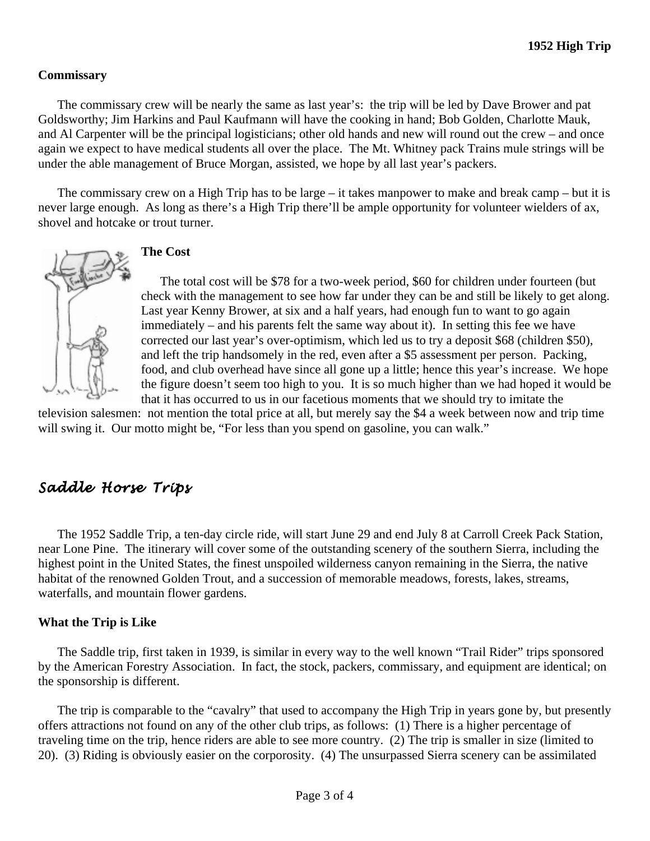#### **Commissary**

The commissary crew will be nearly the same as last year's: the trip will be led by Dave Brower and pat Goldsworthy; Jim Harkins and Paul Kaufmann will have the cooking in hand; Bob Golden, Charlotte Mauk, and Al Carpenter will be the principal logisticians; other old hands and new will round out the crew – and once again we expect to have medical students all over the place. The Mt. Whitney pack Trains mule strings will be under the able management of Bruce Morgan, assisted, we hope by all last year's packers.

The commissary crew on a High Trip has to be large – it takes manpower to make and break camp – but it is never large enough. As long as there's a High Trip there'll be ample opportunity for volunteer wielders of ax, shovel and hotcake or trout turner.



#### **The Cost**

The total cost will be \$78 for a two-week period, \$60 for children under fourteen (but check with the management to see how far under they can be and still be likely to get along. Last year Kenny Brower, at six and a half years, had enough fun to want to go again immediately – and his parents felt the same way about it). In setting this fee we have corrected our last year's over-optimism, which led us to try a deposit \$68 (children \$50), and left the trip handsomely in the red, even after a \$5 assessment per person. Packing, food, and club overhead have since all gone up a little; hence this year's increase. We hope the figure doesn't seem too high to you. It is so much higher than we had hoped it would be that it has occurred to us in our facetious moments that we should try to imitate the

television salesmen: not mention the total price at all, but merely say the \$4 a week between now and trip time will swing it. Our motto might be, "For less than you spend on gasoline, you can walk."

# *Saddle Horse Trips*

The 1952 Saddle Trip, a ten-day circle ride, will start June 29 and end July 8 at Carroll Creek Pack Station, near Lone Pine. The itinerary will cover some of the outstanding scenery of the southern Sierra, including the highest point in the United States, the finest unspoiled wilderness canyon remaining in the Sierra, the native habitat of the renowned Golden Trout, and a succession of memorable meadows, forests, lakes, streams, waterfalls, and mountain flower gardens.

#### **What the Trip is Like**

The Saddle trip, first taken in 1939, is similar in every way to the well known "Trail Rider" trips sponsored by the American Forestry Association. In fact, the stock, packers, commissary, and equipment are identical; on the sponsorship is different.

The trip is comparable to the "cavalry" that used to accompany the High Trip in years gone by, but presently offers attractions not found on any of the other club trips, as follows: (1) There is a higher percentage of traveling time on the trip, hence riders are able to see more country. (2) The trip is smaller in size (limited to 20). (3) Riding is obviously easier on the corporosity. (4) The unsurpassed Sierra scenery can be assimilated